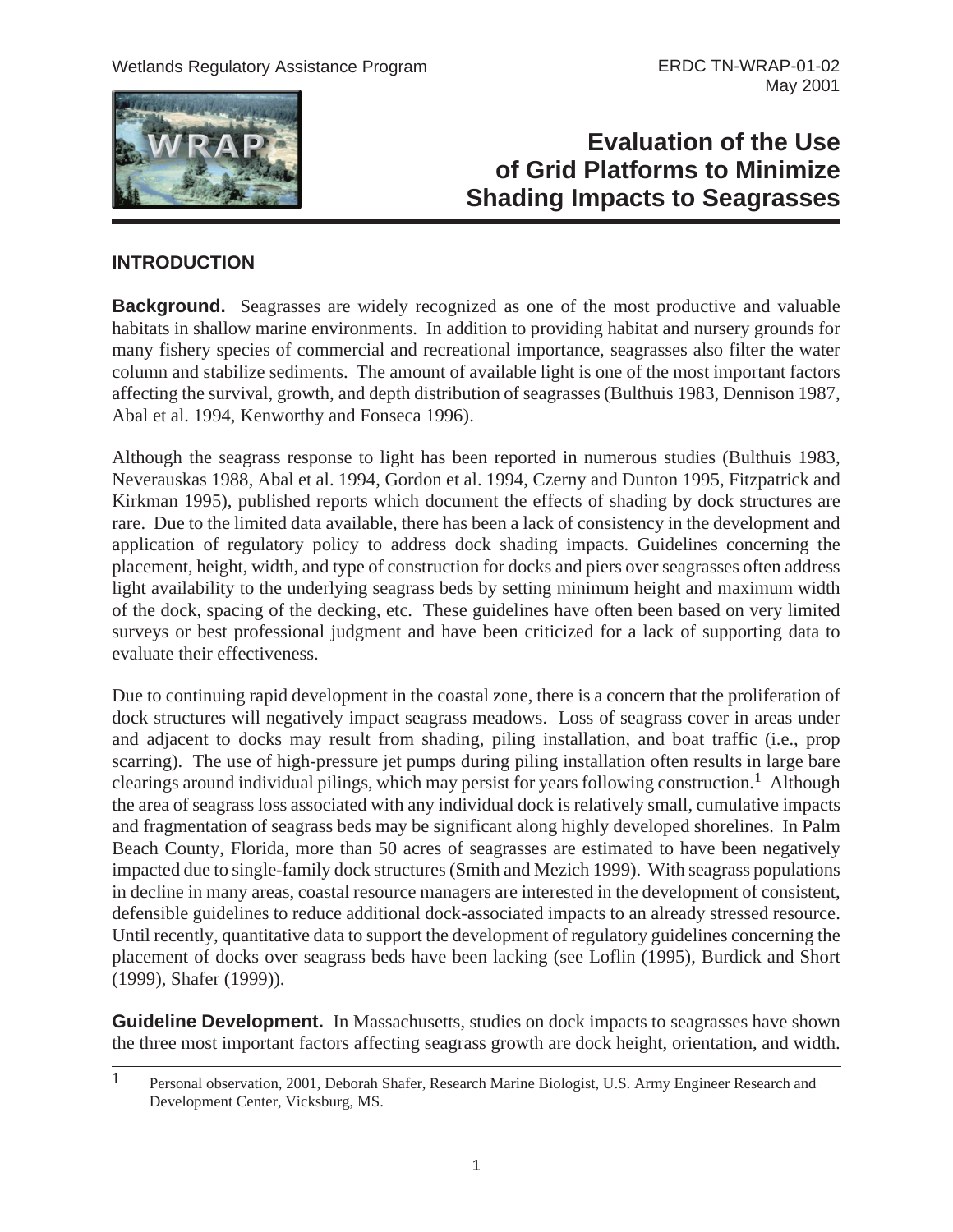

# **Evaluation of the Use of Grid Platforms to Minimize Shading Impacts to Seagrasses**

## **INTRODUCTION**

**Background.** Seagrasses are widely recognized as one of the most productive and valuable habitats in shallow marine environments. In addition to providing habitat and nursery grounds for many fishery species of commercial and recreational importance, seagrasses also filter the water column and stabilize sediments. The amount of available light is one of the most important factors affecting the survival, growth, and depth distribution of seagrasses (Bulthuis 1983, Dennison 1987, Abal et al. 1994, Kenworthy and Fonseca 1996).

Although the seagrass response to light has been reported in numerous studies (Bulthuis 1983, Neverauskas 1988, Abal et al. 1994, Gordon et al. 1994, Czerny and Dunton 1995, Fitzpatrick and Kirkman 1995), published reports which document the effects of shading by dock structures are rare. Due to the limited data available, there has been a lack of consistency in the development and application of regulatory policy to address dock shading impacts. Guidelines concerning the placement, height, width, and type of construction for docks and piers over seagrasses often address light availability to the underlying seagrass beds by setting minimum height and maximum width of the dock, spacing of the decking, etc. These guidelines have often been based on very limited surveys or best professional judgment and have been criticized for a lack of supporting data to evaluate their effectiveness.

Due to continuing rapid development in the coastal zone, there is a concern that the proliferation of dock structures will negatively impact seagrass meadows. Loss of seagrass cover in areas under and adjacent to docks may result from shading, piling installation, and boat traffic (i.e., prop scarring). The use of high-pressure jet pumps during piling installation often results in large bare clearings around individual pilings, which may persist for years following construction.<sup>1</sup> Although the area of seagrass loss associated with any individual dock is relatively small, cumulative impacts and fragmentation of seagrass beds may be significant along highly developed shorelines. In Palm Beach County, Florida, more than 50 acres of seagrasses are estimated to have been negatively impacted due to single-family dock structures (Smith and Mezich 1999). With seagrass populations in decline in many areas, coastal resource managers are interested in the development of consistent, defensible guidelines to reduce additional dock-associated impacts to an already stressed resource. Until recently, quantitative data to support the development of regulatory guidelines concerning the placement of docks over seagrass beds have been lacking (see Loflin (1995), Burdick and Short (1999), Shafer (1999)).

**Guideline Development.** In Massachusetts, studies on dock impacts to seagrasses have shown the three most important factors affecting seagrass growth are dock height, orientation, and width.

<sup>1</sup> Personal observation, 2001, Deborah Shafer, Research Marine Biologist, U.S. Army Engineer Research and Development Center, Vicksburg, MS.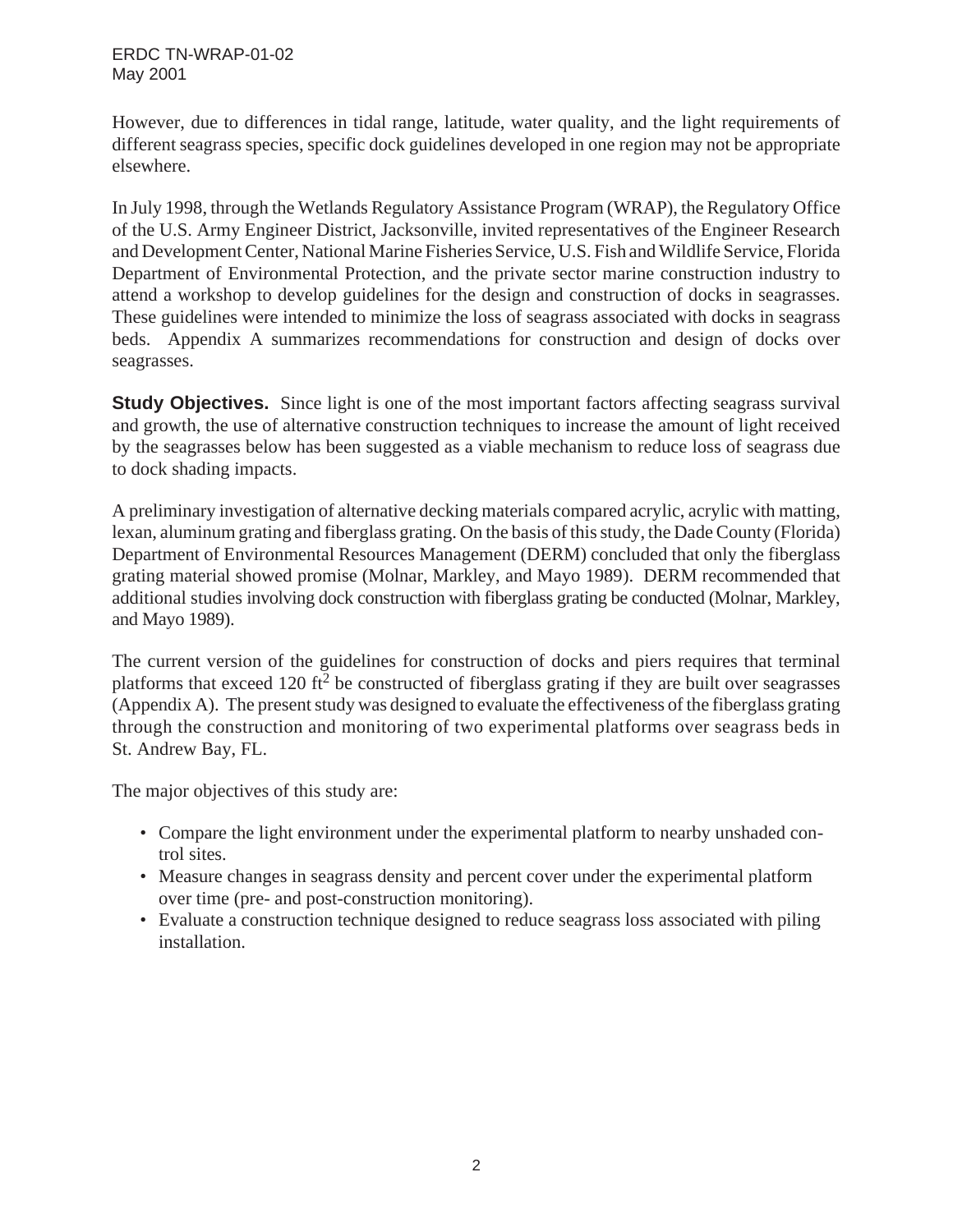However, due to differences in tidal range, latitude, water quality, and the light requirements of different seagrass species, specific dock guidelines developed in one region may not be appropriate elsewhere.

In July 1998, through the Wetlands Regulatory Assistance Program (WRAP), the Regulatory Office of the U.S. Army Engineer District, Jacksonville, invited representatives of the Engineer Research and Development Center, National Marine Fisheries Service, U.S. Fish and Wildlife Service, Florida Department of Environmental Protection, and the private sector marine construction industry to attend a workshop to develop guidelines for the design and construction of docks in seagrasses. These guidelines were intended to minimize the loss of seagrass associated with docks in seagrass beds. Appendix A summarizes recommendations for construction and design of docks over seagrasses.

**Study Objectives.** Since light is one of the most important factors affecting seagrass survival and growth, the use of alternative construction techniques to increase the amount of light received by the seagrasses below has been suggested as a viable mechanism to reduce loss of seagrass due to dock shading impacts.

A preliminary investigation of alternative decking materials compared acrylic, acrylic with matting, lexan, aluminum grating and fiberglass grating. On the basis of this study, the Dade County (Florida) Department of Environmental Resources Management (DERM) concluded that only the fiberglass grating material showed promise (Molnar, Markley, and Mayo 1989). DERM recommended that additional studies involving dock construction with fiberglass grating be conducted (Molnar, Markley, and Mayo 1989).

The current version of the guidelines for construction of docks and piers requires that terminal platforms that exceed 120 ft<sup>2</sup> be constructed of fiberglass grating if they are built over seagrasses (Appendix A). The present study was designed to evaluate the effectiveness of the fiberglass grating through the construction and monitoring of two experimental platforms over seagrass beds in St. Andrew Bay, FL.

The major objectives of this study are:

- Compare the light environment under the experimental platform to nearby unshaded control sites.
- Measure changes in seagrass density and percent cover under the experimental platform over time (pre- and post-construction monitoring).
- Evaluate a construction technique designed to reduce seagrass loss associated with piling installation.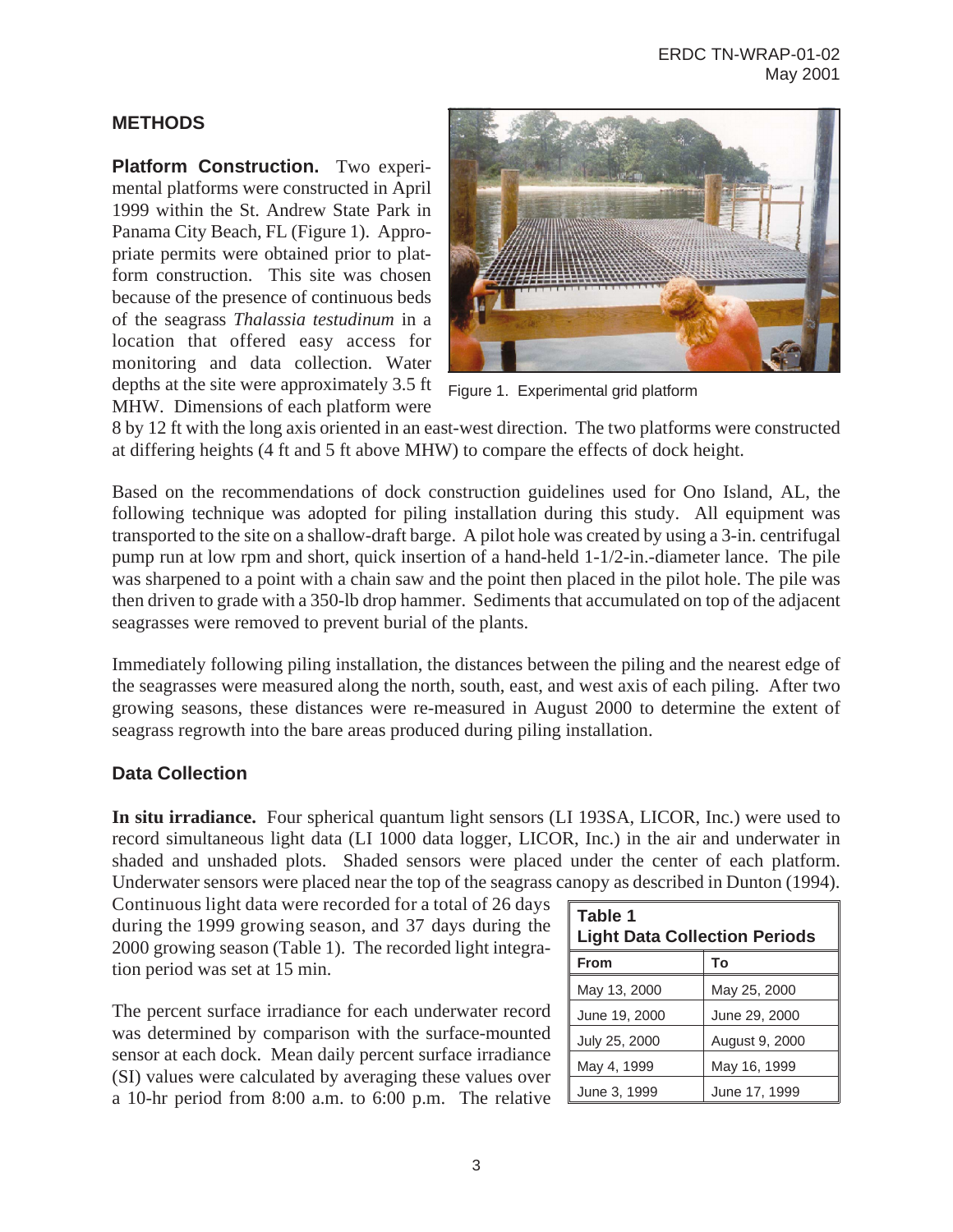#### **METHODS**

**Platform Construction.** Two experimental platforms were constructed in April 1999 within the St. Andrew State Park in Panama City Beach, FL (Figure 1). Appropriate permits were obtained prior to platform construction. This site was chosen because of the presence of continuous beds of the seagrass *Thalassia testudinum* in a location that offered easy access for monitoring and data collection. Water depths at the site were approximately 3.5 ft MHW. Dimensions of each platform were



Figure 1. Experimental grid platform

8 by 12 ft with the long axis oriented in an east-west direction. The two platforms were constructed at differing heights (4 ft and 5 ft above MHW) to compare the effects of dock height.

Based on the recommendations of dock construction guidelines used for Ono Island, AL, the following technique was adopted for piling installation during this study. All equipment was transported to the site on a shallow-draft barge. A pilot hole was created by using a 3-in. centrifugal pump run at low rpm and short, quick insertion of a hand-held 1-1/2-in.-diameter lance. The pile was sharpened to a point with a chain saw and the point then placed in the pilot hole. The pile was then driven to grade with a 350-lb drop hammer. Sediments that accumulated on top of the adjacent seagrasses were removed to prevent burial of the plants.

Immediately following piling installation, the distances between the piling and the nearest edge of the seagrasses were measured along the north, south, east, and west axis of each piling. After two growing seasons, these distances were re-measured in August 2000 to determine the extent of seagrass regrowth into the bare areas produced during piling installation.

#### **Data Collection**

**In situ irradiance.** Four spherical quantum light sensors (LI 193SA, LICOR, Inc.) were used to record simultaneous light data (LI 1000 data logger, LICOR, Inc.) in the air and underwater in shaded and unshaded plots. Shaded sensors were placed under the center of each platform. Underwater sensors were placed near the top of the seagrass canopy as described in Dunton (1994).

Continuous light data were recorded for a total of 26 days during the 1999 growing season, and 37 days during the 2000 growing season (Table 1). The recorded light integration period was set at 15 min.

The percent surface irradiance for each underwater record was determined by comparison with the surface-mounted sensor at each dock. Mean daily percent surface irradiance (SI) values were calculated by averaging these values over a 10-hr period from 8:00 a.m. to 6:00 p.m. The relative

| Table 1<br><b>Light Data Collection Periods</b> |                |  |  |  |
|-------------------------------------------------|----------------|--|--|--|
| <b>From</b>                                     | To             |  |  |  |
| May 13, 2000                                    | May 25, 2000   |  |  |  |
| June 19, 2000                                   | June 29, 2000  |  |  |  |
| July 25, 2000                                   | August 9, 2000 |  |  |  |
| May 4, 1999                                     | May 16, 1999   |  |  |  |
| June 3, 1999                                    | June 17, 1999  |  |  |  |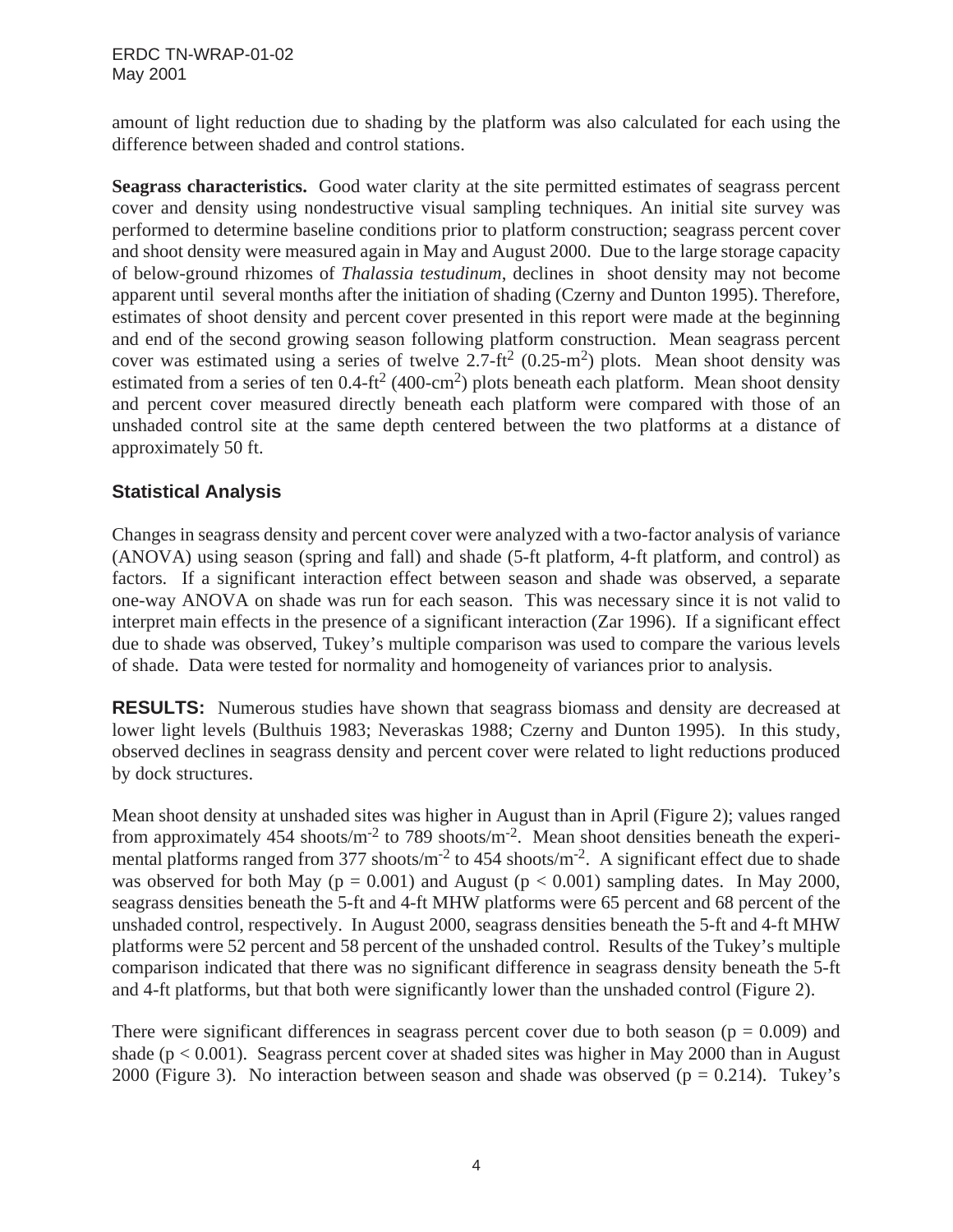amount of light reduction due to shading by the platform was also calculated for each using the difference between shaded and control stations.

**Seagrass characteristics.** Good water clarity at the site permitted estimates of seagrass percent cover and density using nondestructive visual sampling techniques. An initial site survey was performed to determine baseline conditions prior to platform construction; seagrass percent cover and shoot density were measured again in May and August 2000. Due to the large storage capacity of below-ground rhizomes of *Thalassia testudinum*, declines in shoot density may not become apparent until several months after the initiation of shading (Czerny and Dunton 1995). Therefore, estimates of shoot density and percent cover presented in this report were made at the beginning and end of the second growing season following platform construction. Mean seagrass percent cover was estimated using a series of twelve 2.7-ft<sup>2</sup> (0.25-m<sup>2</sup>) plots. Mean shoot density was estimated from a series of ten  $0.4-ft^2$  (400-cm<sup>2</sup>) plots beneath each platform. Mean shoot density and percent cover measured directly beneath each platform were compared with those of an unshaded control site at the same depth centered between the two platforms at a distance of approximately 50 ft.

### **Statistical Analysis**

Changes in seagrass density and percent cover were analyzed with a two-factor analysis of variance (ANOVA) using season (spring and fall) and shade (5-ft platform, 4-ft platform, and control) as factors. If a significant interaction effect between season and shade was observed, a separate one-way ANOVA on shade was run for each season. This was necessary since it is not valid to interpret main effects in the presence of a significant interaction (Zar 1996). If a significant effect due to shade was observed, Tukey's multiple comparison was used to compare the various levels of shade. Data were tested for normality and homogeneity of variances prior to analysis.

**RESULTS:** Numerous studies have shown that seagrass biomass and density are decreased at lower light levels (Bulthuis 1983; Neveraskas 1988; Czerny and Dunton 1995). In this study, observed declines in seagrass density and percent cover were related to light reductions produced by dock structures.

Mean shoot density at unshaded sites was higher in August than in April (Figure 2); values ranged from approximately 454 shoots/m<sup>-2</sup> to 789 shoots/m<sup>-2</sup>. Mean shoot densities beneath the experimental platforms ranged from 377 shoots/m<sup>-2</sup> to 454 shoots/m<sup>-2</sup>. A significant effect due to shade was observed for both May ( $p = 0.001$ ) and August ( $p < 0.001$ ) sampling dates. In May 2000, seagrass densities beneath the 5-ft and 4-ft MHW platforms were 65 percent and 68 percent of the unshaded control, respectively. In August 2000, seagrass densities beneath the 5-ft and 4-ft MHW platforms were 52 percent and 58 percent of the unshaded control. Results of the Tukey's multiple comparison indicated that there was no significant difference in seagrass density beneath the 5-ft and 4-ft platforms, but that both were significantly lower than the unshaded control (Figure 2).

There were significant differences in seagrass percent cover due to both season ( $p = 0.009$ ) and shade ( $p < 0.001$ ). Seagrass percent cover at shaded sites was higher in May 2000 than in August 2000 (Figure 3). No interaction between season and shade was observed ( $p = 0.214$ ). Tukey's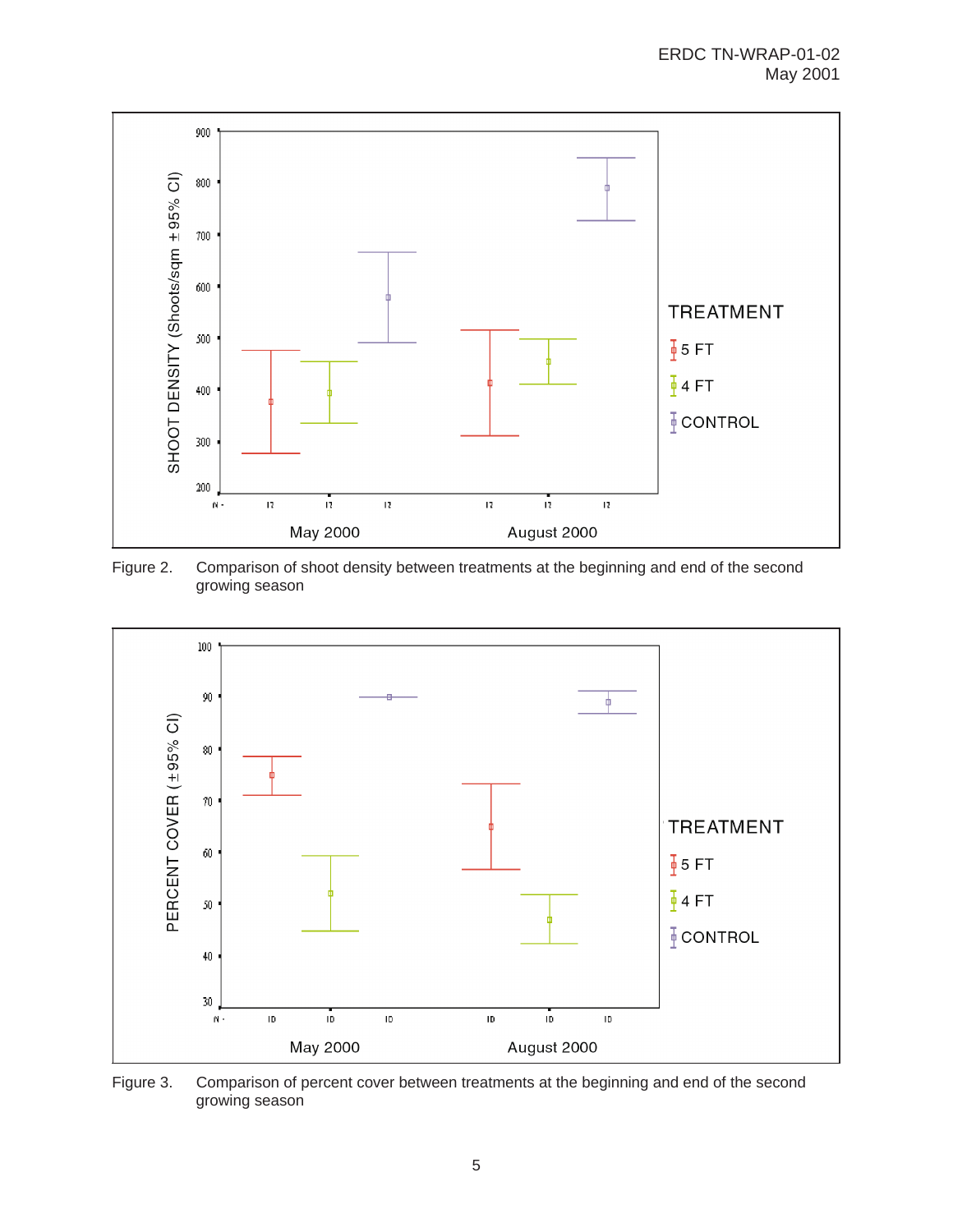

Figure 2. Comparison of shoot density between treatments at the beginning and end of the second growing season



Figure 3. Comparison of percent cover between treatments at the beginning and end of the second growing season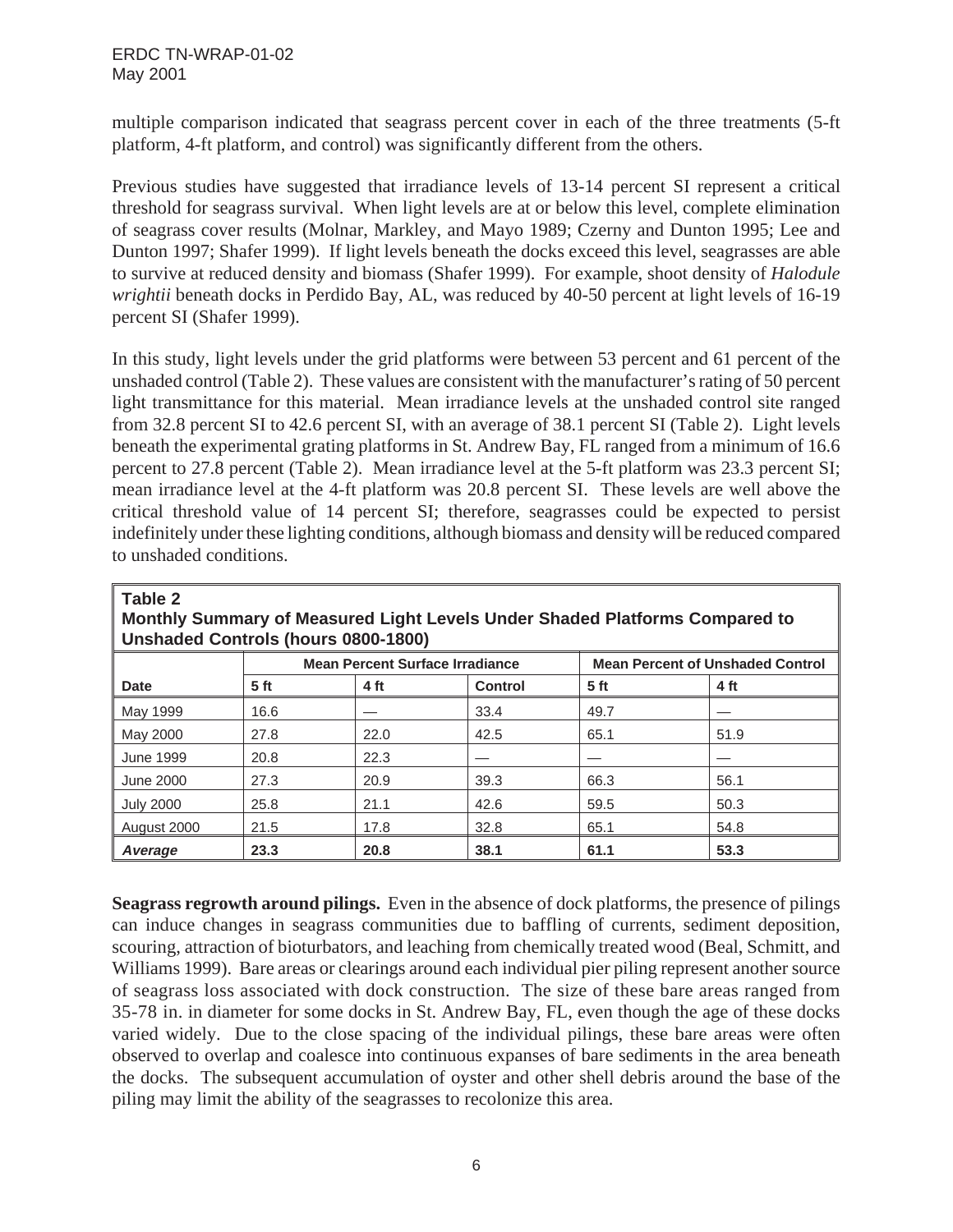multiple comparison indicated that seagrass percent cover in each of the three treatments (5-ft platform, 4-ft platform, and control) was significantly different from the others.

Previous studies have suggested that irradiance levels of 13-14 percent SI represent a critical threshold for seagrass survival. When light levels are at or below this level, complete elimination of seagrass cover results (Molnar, Markley, and Mayo 1989; Czerny and Dunton 1995; Lee and Dunton 1997; Shafer 1999). If light levels beneath the docks exceed this level, seagrasses are able to survive at reduced density and biomass (Shafer 1999). For example, shoot density of *Halodule wrightii* beneath docks in Perdido Bay, AL, was reduced by 40-50 percent at light levels of 16-19 percent SI (Shafer 1999).

In this study, light levels under the grid platforms were between 53 percent and 61 percent of the unshaded control (Table 2). These values are consistent with the manufacturer's rating of 50 percent light transmittance for this material. Mean irradiance levels at the unshaded control site ranged from 32.8 percent SI to 42.6 percent SI, with an average of 38.1 percent SI (Table 2). Light levels beneath the experimental grating platforms in St. Andrew Bay, FL ranged from a minimum of 16.6 percent to 27.8 percent (Table 2). Mean irradiance level at the 5-ft platform was 23.3 percent SI; mean irradiance level at the 4-ft platform was 20.8 percent SI. These levels are well above the critical threshold value of 14 percent SI; therefore, seagrasses could be expected to persist indefinitely under these lighting conditions, although biomass and density will be reduced compared to unshaded conditions.

#### **Table 2**

**Monthly Summary of Measured Light Levels Under Shaded Platforms Compared to Unshaded Controls (hours 0800-1800)**

|                  | <b>Mean Percent Surface Irradiance</b> |      |                | <b>Mean Percent of Unshaded Control</b> |      |
|------------------|----------------------------------------|------|----------------|-----------------------------------------|------|
| Date             | 5 <sub>ft</sub>                        | 4 ft | <b>Control</b> | 5 <sub>ft</sub>                         | 4 ft |
| May 1999         | 16.6                                   |      | 33.4           | 49.7                                    |      |
| May 2000         | 27.8                                   | 22.0 | 42.5           | 65.1                                    | 51.9 |
| <b>June 1999</b> | 20.8                                   | 22.3 |                |                                         |      |
| <b>June 2000</b> | 27.3                                   | 20.9 | 39.3           | 66.3                                    | 56.1 |
| <b>July 2000</b> | 25.8                                   | 21.1 | 42.6           | 59.5                                    | 50.3 |
| August 2000      | 21.5                                   | 17.8 | 32.8           | 65.1                                    | 54.8 |
| Average          | 23.3                                   | 20.8 | 38.1           | 61.1                                    | 53.3 |

**Seagrass regrowth around pilings.** Even in the absence of dock platforms, the presence of pilings can induce changes in seagrass communities due to baffling of currents, sediment deposition, scouring, attraction of bioturbators, and leaching from chemically treated wood (Beal, Schmitt, and Williams 1999). Bare areas or clearings around each individual pier piling represent another source of seagrass loss associated with dock construction. The size of these bare areas ranged from 35-78 in. in diameter for some docks in St. Andrew Bay, FL, even though the age of these docks varied widely. Due to the close spacing of the individual pilings, these bare areas were often observed to overlap and coalesce into continuous expanses of bare sediments in the area beneath the docks. The subsequent accumulation of oyster and other shell debris around the base of the piling may limit the ability of the seagrasses to recolonize this area.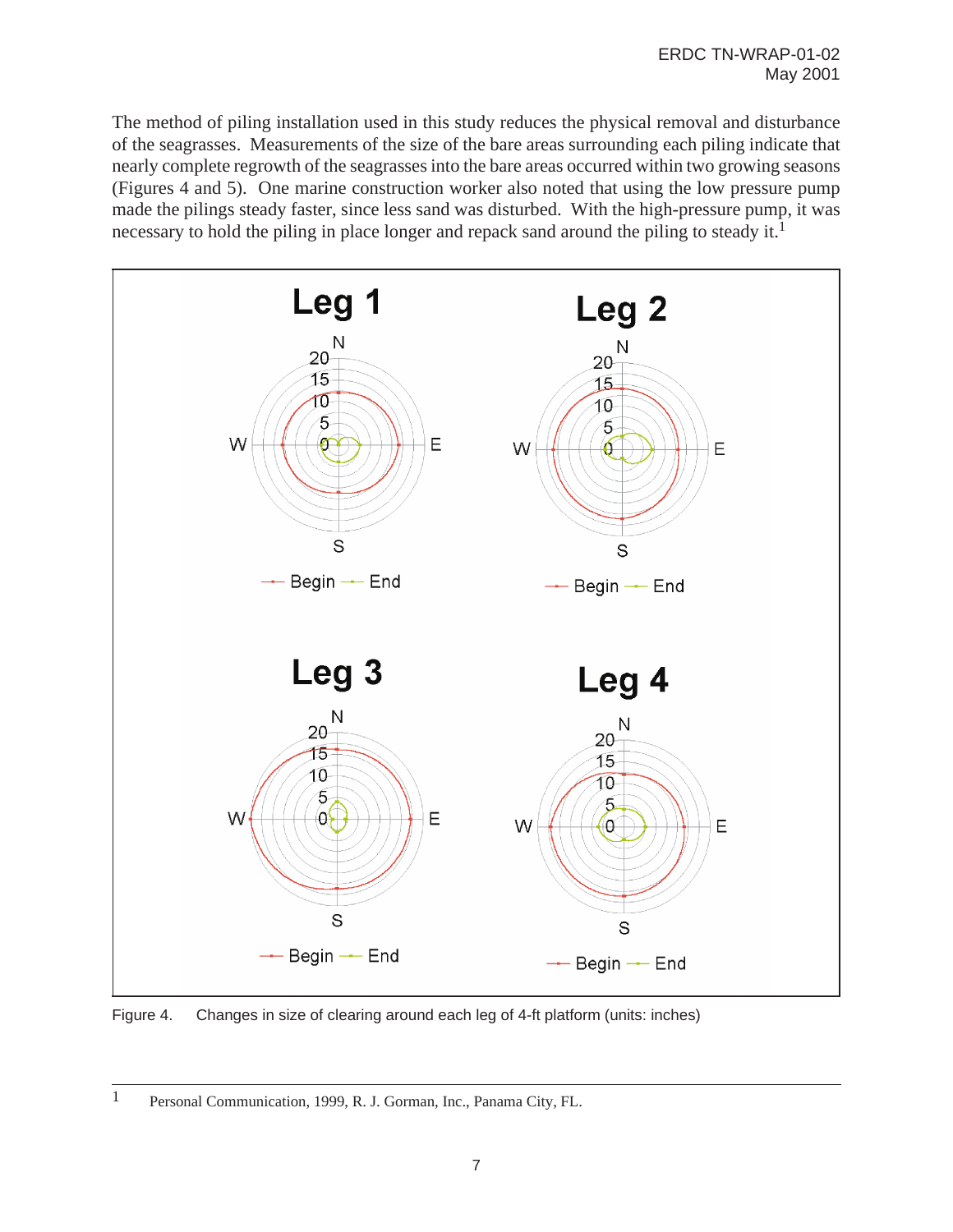The method of piling installation used in this study reduces the physical removal and disturbance of the seagrasses. Measurements of the size of the bare areas surrounding each piling indicate that nearly complete regrowth of the seagrasses into the bare areas occurred within two growing seasons (Figures 4 and 5). One marine construction worker also noted that using the low pressure pump made the pilings steady faster, since less sand was disturbed. With the high-pressure pump, it was necessary to hold the piling in place longer and repack sand around the piling to steady it.<sup>1</sup>



Figure 4. Changes in size of clearing around each leg of 4-ft platform (units: inches)

<sup>1</sup> Personal Communication, 1999, R. J. Gorman, Inc., Panama City, FL.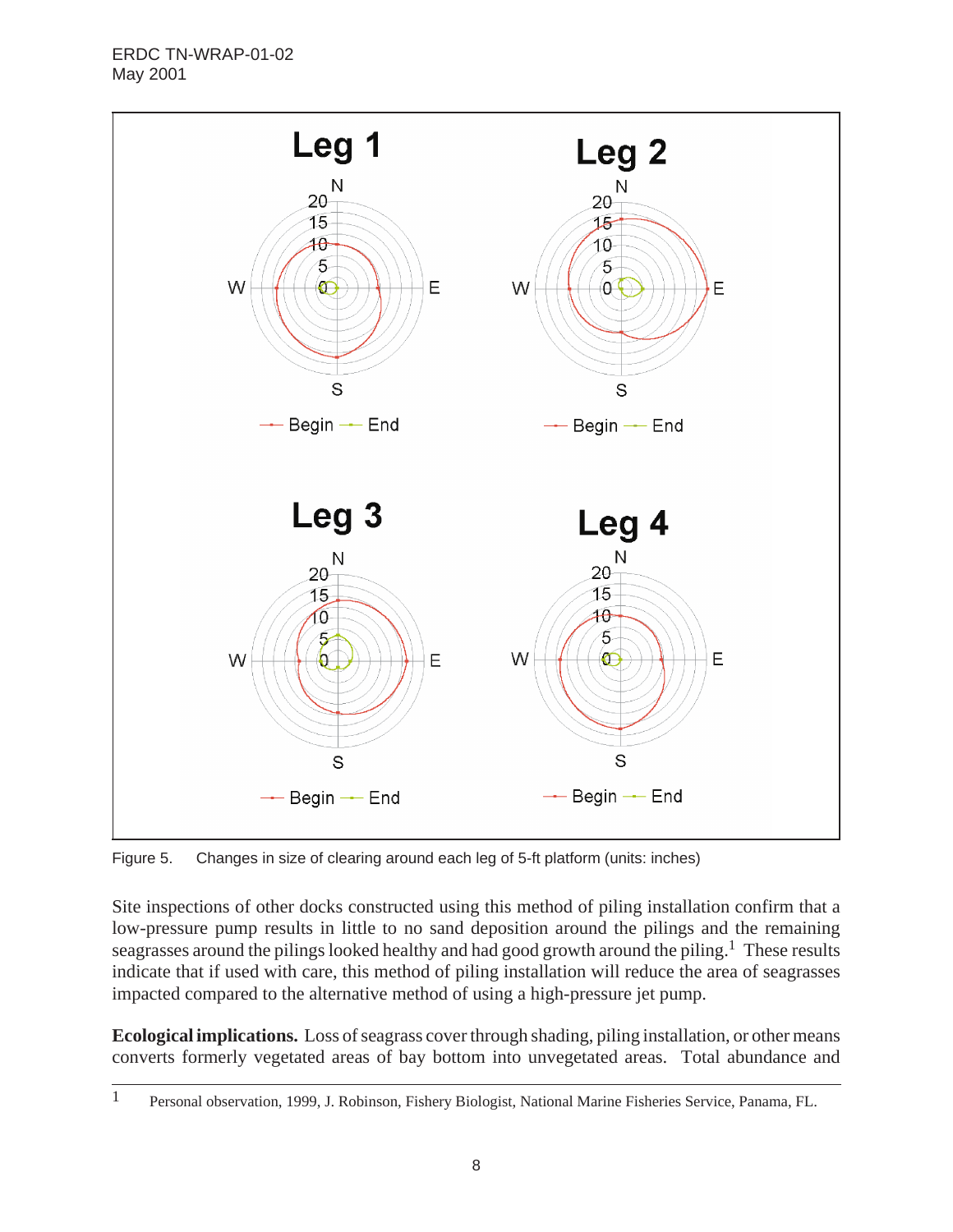

Figure 5. Changes in size of clearing around each leg of 5-ft platform (units: inches)

Site inspections of other docks constructed using this method of piling installation confirm that a low-pressure pump results in little to no sand deposition around the pilings and the remaining seagrasses around the pilings looked healthy and had good growth around the piling.<sup>1</sup> These results indicate that if used with care, this method of piling installation will reduce the area of seagrasses impacted compared to the alternative method of using a high-pressure jet pump.

**Ecological implications.** Loss of seagrass cover through shading, piling installation, or other means converts formerly vegetated areas of bay bottom into unvegetated areas. Total abundance and

<sup>1</sup> Personal observation, 1999, J. Robinson, Fishery Biologist, National Marine Fisheries Service, Panama, FL.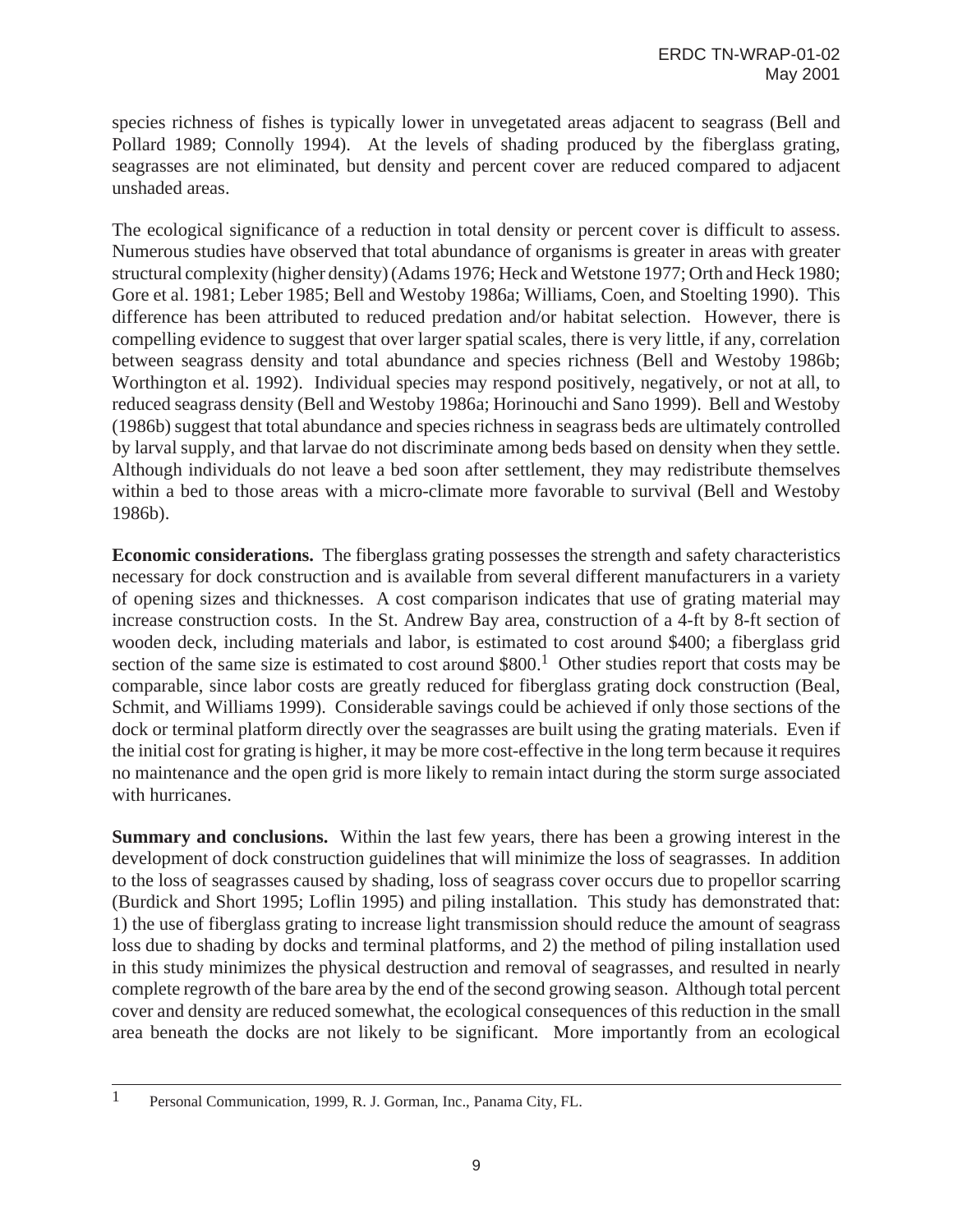species richness of fishes is typically lower in unvegetated areas adjacent to seagrass (Bell and Pollard 1989; Connolly 1994). At the levels of shading produced by the fiberglass grating, seagrasses are not eliminated, but density and percent cover are reduced compared to adjacent unshaded areas.

The ecological significance of a reduction in total density or percent cover is difficult to assess. Numerous studies have observed that total abundance of organisms is greater in areas with greater structural complexity (higher density) (Adams 1976; Heck and Wetstone 1977; Orth and Heck 1980; Gore et al. 1981; Leber 1985; Bell and Westoby 1986a; Williams, Coen, and Stoelting 1990). This difference has been attributed to reduced predation and/or habitat selection. However, there is compelling evidence to suggest that over larger spatial scales, there is very little, if any, correlation between seagrass density and total abundance and species richness (Bell and Westoby 1986b; Worthington et al. 1992). Individual species may respond positively, negatively, or not at all, to reduced seagrass density (Bell and Westoby 1986a; Horinouchi and Sano 1999). Bell and Westoby (1986b) suggest that total abundance and species richness in seagrass beds are ultimately controlled by larval supply, and that larvae do not discriminate among beds based on density when they settle. Although individuals do not leave a bed soon after settlement, they may redistribute themselves within a bed to those areas with a micro-climate more favorable to survival (Bell and Westoby 1986b).

**Economic considerations.** The fiberglass grating possesses the strength and safety characteristics necessary for dock construction and is available from several different manufacturers in a variety of opening sizes and thicknesses. A cost comparison indicates that use of grating material may increase construction costs. In the St. Andrew Bay area, construction of a 4-ft by 8-ft section of wooden deck, including materials and labor, is estimated to cost around \$400; a fiberglass grid section of the same size is estimated to cost around  $$800<sup>1</sup>$  Other studies report that costs may be comparable, since labor costs are greatly reduced for fiberglass grating dock construction (Beal, Schmit, and Williams 1999). Considerable savings could be achieved if only those sections of the dock or terminal platform directly over the seagrasses are built using the grating materials. Even if the initial cost for grating is higher, it may be more cost-effective in the long term because it requires no maintenance and the open grid is more likely to remain intact during the storm surge associated with hurricanes.

**Summary and conclusions.** Within the last few years, there has been a growing interest in the development of dock construction guidelines that will minimize the loss of seagrasses. In addition to the loss of seagrasses caused by shading, loss of seagrass cover occurs due to propellor scarring (Burdick and Short 1995; Loflin 1995) and piling installation. This study has demonstrated that: 1) the use of fiberglass grating to increase light transmission should reduce the amount of seagrass loss due to shading by docks and terminal platforms, and 2) the method of piling installation used in this study minimizes the physical destruction and removal of seagrasses, and resulted in nearly complete regrowth of the bare area by the end of the second growing season. Although total percent cover and density are reduced somewhat, the ecological consequences of this reduction in the small area beneath the docks are not likely to be significant. More importantly from an ecological

<sup>1</sup> Personal Communication, 1999, R. J. Gorman, Inc., Panama City, FL.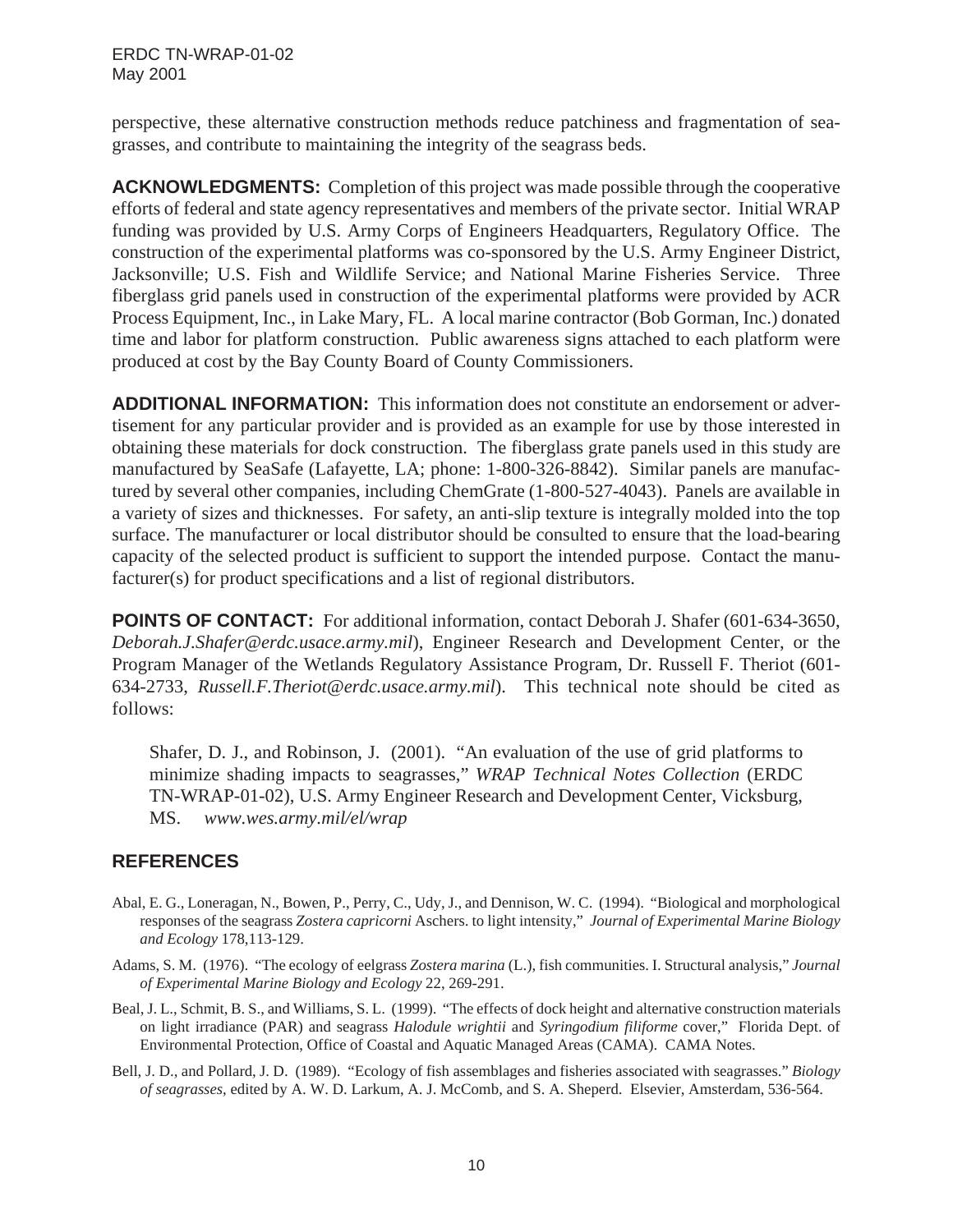perspective, these alternative construction methods reduce patchiness and fragmentation of seagrasses, and contribute to maintaining the integrity of the seagrass beds.

**ACKNOWLEDGMENTS:** Completion of this project was made possible through the cooperative efforts of federal and state agency representatives and members of the private sector. Initial WRAP funding was provided by U.S. Army Corps of Engineers Headquarters, Regulatory Office. The construction of the experimental platforms was co-sponsored by the U.S. Army Engineer District, Jacksonville; U.S. Fish and Wildlife Service; and National Marine Fisheries Service. Three fiberglass grid panels used in construction of the experimental platforms were provided by ACR Process Equipment, Inc., in Lake Mary, FL. A local marine contractor (Bob Gorman, Inc.) donated time and labor for platform construction. Public awareness signs attached to each platform were produced at cost by the Bay County Board of County Commissioners.

**ADDITIONAL INFORMATION:** This information does not constitute an endorsement or advertisement for any particular provider and is provided as an example for use by those interested in obtaining these materials for dock construction. The fiberglass grate panels used in this study are manufactured by SeaSafe (Lafayette, LA; phone: 1-800-326-8842). Similar panels are manufactured by several other companies, including ChemGrate (1-800-527-4043). Panels are available in a variety of sizes and thicknesses. For safety, an anti-slip texture is integrally molded into the top surface. The manufacturer or local distributor should be consulted to ensure that the load-bearing capacity of the selected product is sufficient to support the intended purpose. Contact the manufacturer(s) for product specifications and a list of regional distributors.

**POINTS OF CONTACT:** For additional information, contact Deborah J. Shafer (601-634-3650, *Deborah.J.Shafer@erdc.usace.army.mil*), Engineer Research and Development Center, or the Program Manager of the Wetlands Regulatory Assistance Program, Dr. Russell F. Theriot (601- 634-2733, *Russell.F.Theriot@erdc.usace.army.mil*). This technical note should be cited as follows:

Shafer, D. J., and Robinson, J. (2001). "An evaluation of the use of grid platforms to minimize shading impacts to seagrasses," *WRAP Technical Notes Collection* (ERDC TN-WRAP-01-02), U.S. Army Engineer Research and Development Center, Vicksburg, MS. *www.wes.army.mil/el/wrap*

#### **REFERENCES**

- Abal, E. G., Loneragan, N., Bowen, P., Perry, C., Udy, J., and Dennison, W. C. (1994). "Biological and morphological responses of the seagrass *Zostera capricorni* Aschers. to light intensity," *Journal of Experimental Marine Biology and Ecology* 178,113-129.
- Adams, S. M. (1976). "The ecology of eelgrass *Zostera marina* (L.), fish communities. I. Structural analysis," *Journal of Experimental Marine Biology and Ecology* 22, 269-291.
- Beal, J. L., Schmit, B. S., and Williams, S. L. (1999). "The effects of dock height and alternative construction materials on light irradiance (PAR) and seagrass *Halodule wrightii* and *Syringodium filiforme* cover," Florida Dept. of Environmental Protection, Office of Coastal and Aquatic Managed Areas (CAMA). CAMA Notes.
- Bell, J. D., and Pollard, J. D. (1989). "Ecology of fish assemblages and fisheries associated with seagrasses." *Biology of seagrasses*, edited by A. W. D. Larkum, A. J. McComb, and S. A. Sheperd. Elsevier, Amsterdam, 536-564.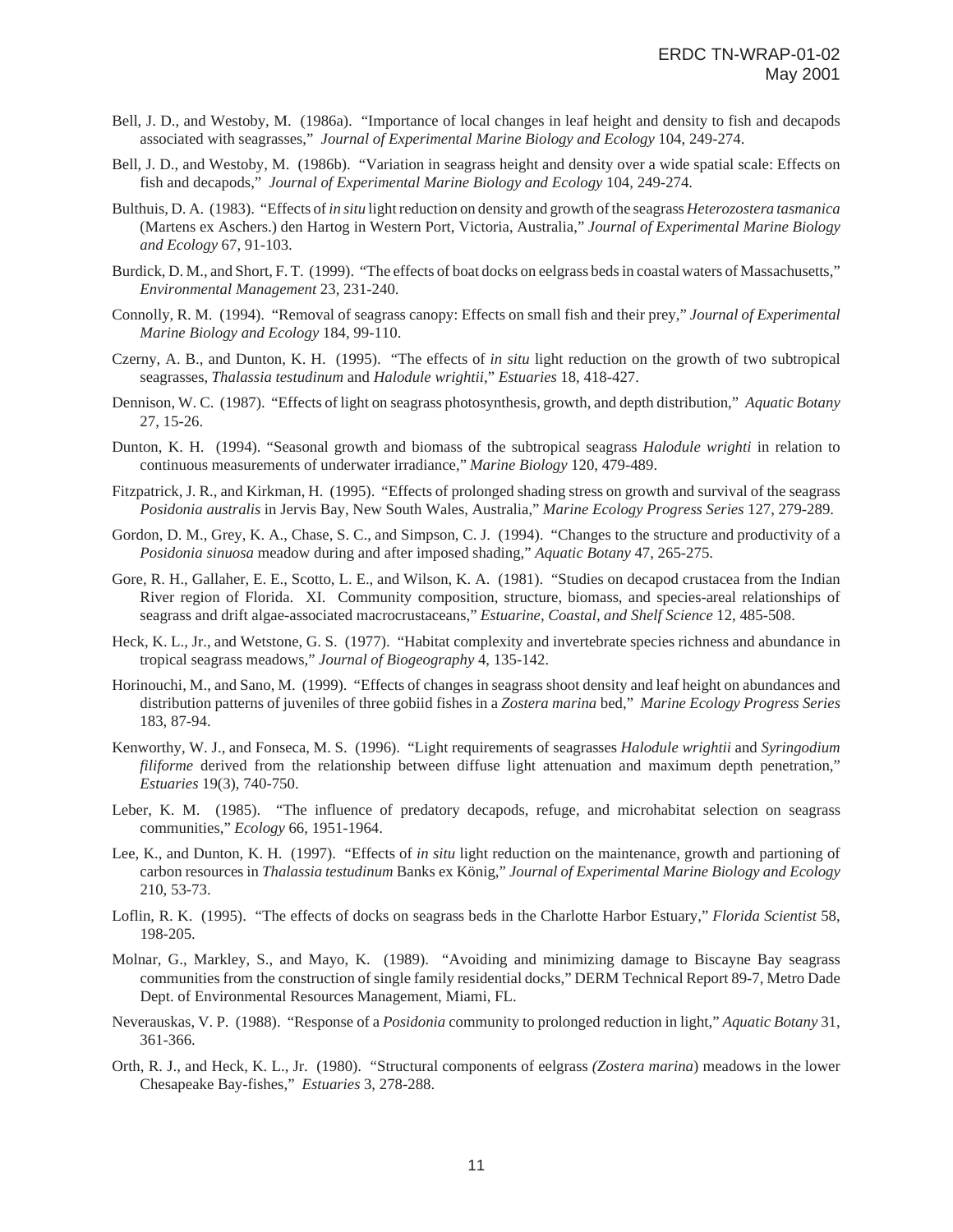- Bell, J. D., and Westoby, M. (1986a). "Importance of local changes in leaf height and density to fish and decapods associated with seagrasses," *Journal of Experimental Marine Biology and Ecology* 104, 249-274.
- Bell, J. D., and Westoby, M. (1986b). "Variation in seagrass height and density over a wide spatial scale: Effects on fish and decapods," *Journal of Experimental Marine Biology and Ecology* 104, 249-274.
- Bulthuis, D. A. (1983). "Effects of *in situ* light reduction on density and growth of the seagrass *Heterozostera tasmanica* (Martens ex Aschers.) den Hartog in Western Port, Victoria, Australia," *Journal of Experimental Marine Biology and Ecology* 67, 91-103.
- Burdick, D. M., and Short, F. T. (1999). "The effects of boat docks on eelgrass beds in coastal waters of Massachusetts," *Environmental Management* 23, 231-240.
- Connolly, R. M. (1994). "Removal of seagrass canopy: Effects on small fish and their prey," *Journal of Experimental Marine Biology and Ecology* 184, 99-110.
- Czerny, A. B., and Dunton, K. H. (1995). "The effects of *in situ* light reduction on the growth of two subtropical seagrasses, *Thalassia testudinum* and *Halodule wrightii*," *Estuaries* 18, 418-427.
- Dennison, W. C. (1987). "Effects of light on seagrass photosynthesis, growth, and depth distribution," *Aquatic Botany* 27, 15-26.
- Dunton, K. H. (1994). "Seasonal growth and biomass of the subtropical seagrass *Halodule wrighti* in relation to continuous measurements of underwater irradiance," *Marine Biology* 120, 479-489.
- Fitzpatrick, J. R., and Kirkman, H. (1995). "Effects of prolonged shading stress on growth and survival of the seagrass *Posidonia australis* in Jervis Bay, New South Wales, Australia," *Marine Ecology Progress Series* 127, 279-289.
- Gordon, D. M., Grey, K. A., Chase, S. C., and Simpson, C. J. (1994). "Changes to the structure and productivity of a *Posidonia sinuosa* meadow during and after imposed shading," *Aquatic Botany* 47, 265-275.
- Gore, R. H., Gallaher, E. E., Scotto, L. E., and Wilson, K. A. (1981). "Studies on decapod crustacea from the Indian River region of Florida. XI. Community composition, structure, biomass, and species-areal relationships of seagrass and drift algae-associated macrocrustaceans," *Estuarine, Coastal, and Shelf Science* 12, 485-508.
- Heck, K. L., Jr., and Wetstone, G. S. (1977). "Habitat complexity and invertebrate species richness and abundance in tropical seagrass meadows," *Journal of Biogeography* 4, 135-142.
- Horinouchi, M., and Sano, M. (1999). "Effects of changes in seagrass shoot density and leaf height on abundances and distribution patterns of juveniles of three gobiid fishes in a *Zostera marina* bed," *Marine Ecology Progress Series* 183, 87-94.
- Kenworthy, W. J., and Fonseca, M. S. (1996). "Light requirements of seagrasses *Halodule wrightii* and *Syringodium filiforme* derived from the relationship between diffuse light attenuation and maximum depth penetration," *Estuaries* 19(3), 740-750.
- Leber, K. M. (1985). "The influence of predatory decapods, refuge, and microhabitat selection on seagrass communities," *Ecology* 66, 1951-1964.
- Lee, K., and Dunton, K. H. (1997). "Effects of *in situ* light reduction on the maintenance, growth and partioning of carbon resources in *Thalassia testudinum* Banks ex König," *Journal of Experimental Marine Biology and Ecology* 210, 53-73.
- Loflin, R. K. (1995). "The effects of docks on seagrass beds in the Charlotte Harbor Estuary," *Florida Scientist* 58, 198-205.
- Molnar, G., Markley, S., and Mayo, K. (1989). "Avoiding and minimizing damage to Biscayne Bay seagrass communities from the construction of single family residential docks," DERM Technical Report 89-7, Metro Dade Dept. of Environmental Resources Management, Miami, FL.
- Neverauskas, V. P. (1988). "Response of a *Posidonia* community to prolonged reduction in light," *Aquatic Botany* 31, 361-366.
- Orth, R. J., and Heck, K. L., Jr. (1980). "Structural components of eelgrass *(Zostera marina*) meadows in the lower Chesapeake Bay-fishes," *Estuaries* 3, 278-288.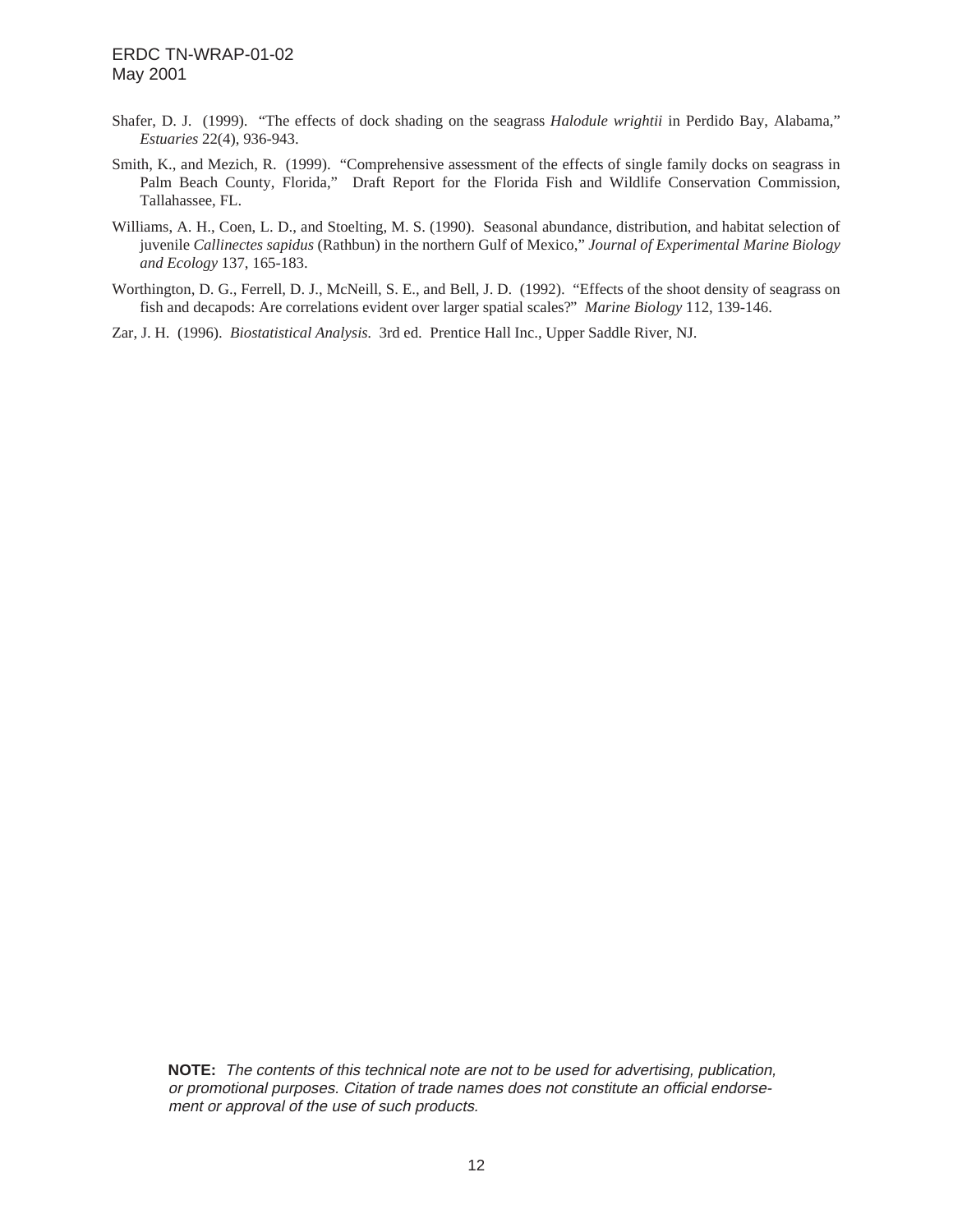- Shafer, D. J. (1999). "The effects of dock shading on the seagrass *Halodule wrightii* in Perdido Bay, Alabama," *Estuaries* 22(4), 936-943.
- Smith, K., and Mezich, R. (1999). "Comprehensive assessment of the effects of single family docks on seagrass in Palm Beach County, Florida," Draft Report for the Florida Fish and Wildlife Conservation Commission, Tallahassee, FL.
- Williams, A. H., Coen, L. D., and Stoelting, M. S. (1990). Seasonal abundance, distribution, and habitat selection of juvenile *Callinectes sapidus* (Rathbun) in the northern Gulf of Mexico," *Journal of Experimental Marine Biology and Ecology* 137, 165-183.
- Worthington, D. G., Ferrell, D. J., McNeill, S. E., and Bell, J. D. (1992). "Effects of the shoot density of seagrass on fish and decapods: Are correlations evident over larger spatial scales?" *Marine Biology* 112, 139-146.
- Zar, J. H. (1996). *Biostatistical Analysis.* 3rd ed. Prentice Hall Inc., Upper Saddle River, NJ.

**NOTE:** The contents of this technical note are not to be used for advertising, publication, or promotional purposes. Citation of trade names does not constitute an official endorsement or approval of the use of such products.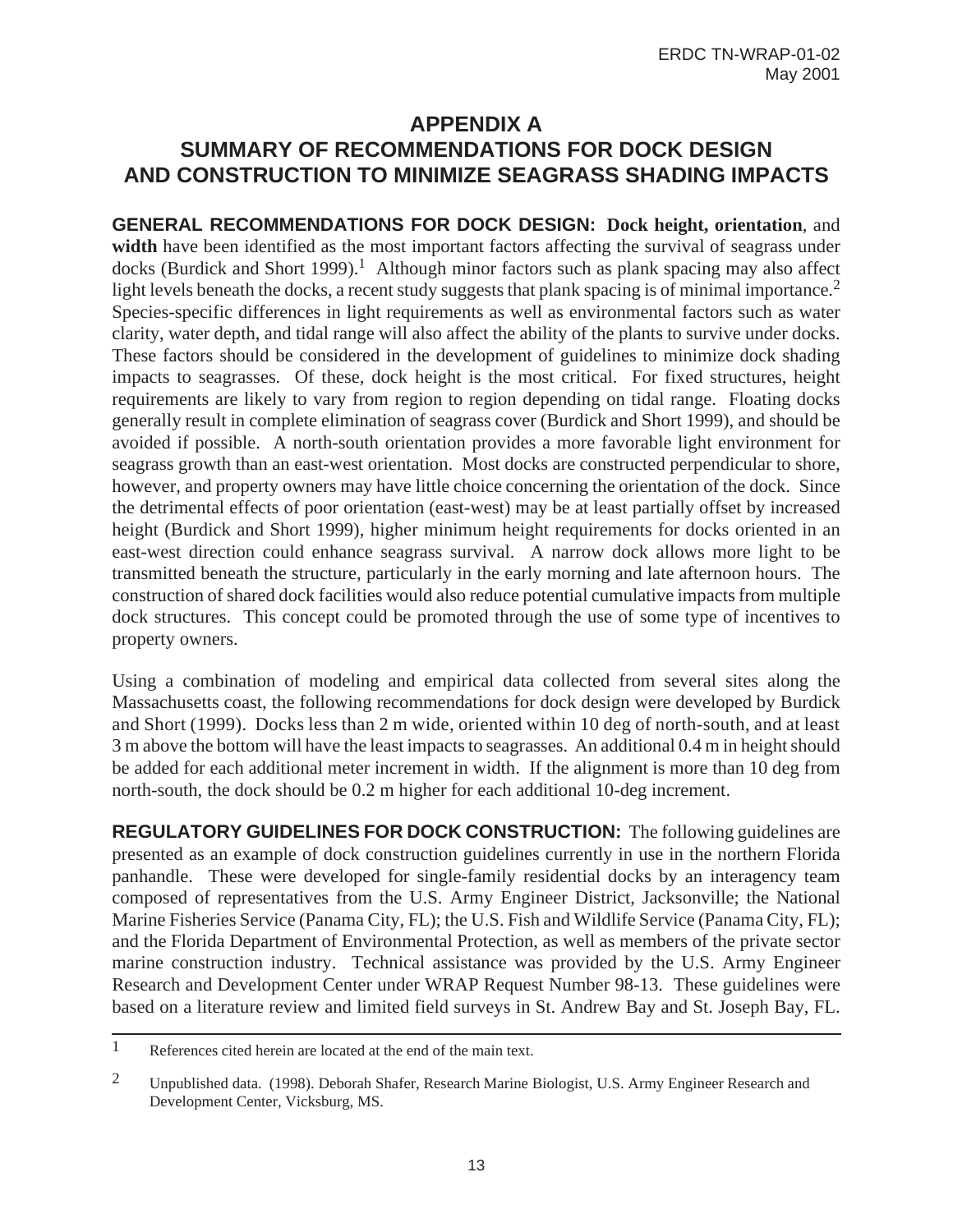# **APPENDIX A SUMMARY OF RECOMMENDATIONS FOR DOCK DESIGN AND CONSTRUCTION TO MINIMIZE SEAGRASS SHADING IMPACTS**

**GENERAL RECOMMENDATIONS FOR DOCK DESIGN: Dock height, orientation**, and **width** have been identified as the most important factors affecting the survival of seagrass under docks (Burdick and Short 1999).<sup>1</sup> Although minor factors such as plank spacing may also affect light levels beneath the docks, a recent study suggests that plank spacing is of minimal importance.<sup>2</sup> Species-specific differences in light requirements as well as environmental factors such as water clarity, water depth, and tidal range will also affect the ability of the plants to survive under docks. These factors should be considered in the development of guidelines to minimize dock shading impacts to seagrasses. Of these, dock height is the most critical. For fixed structures, height requirements are likely to vary from region to region depending on tidal range. Floating docks generally result in complete elimination of seagrass cover (Burdick and Short 1999), and should be avoided if possible. A north-south orientation provides a more favorable light environment for seagrass growth than an east-west orientation. Most docks are constructed perpendicular to shore, however, and property owners may have little choice concerning the orientation of the dock. Since the detrimental effects of poor orientation (east-west) may be at least partially offset by increased height (Burdick and Short 1999), higher minimum height requirements for docks oriented in an east-west direction could enhance seagrass survival. A narrow dock allows more light to be transmitted beneath the structure, particularly in the early morning and late afternoon hours. The construction of shared dock facilities would also reduce potential cumulative impacts from multiple dock structures. This concept could be promoted through the use of some type of incentives to property owners.

Using a combination of modeling and empirical data collected from several sites along the Massachusetts coast, the following recommendations for dock design were developed by Burdick and Short (1999). Docks less than 2 m wide, oriented within 10 deg of north-south, and at least 3 m above the bottom will have the least impacts to seagrasses. An additional 0.4 m in height should be added for each additional meter increment in width. If the alignment is more than 10 deg from north-south, the dock should be 0.2 m higher for each additional 10-deg increment.

**REGULATORY GUIDELINES FOR DOCK CONSTRUCTION:** The following guidelines are presented as an example of dock construction guidelines currently in use in the northern Florida panhandle. These were developed for single-family residential docks by an interagency team composed of representatives from the U.S. Army Engineer District, Jacksonville; the National Marine Fisheries Service (Panama City, FL); the U.S. Fish and Wildlife Service (Panama City, FL); and the Florida Department of Environmental Protection, as well as members of the private sector marine construction industry. Technical assistance was provided by the U.S. Army Engineer Research and Development Center under WRAP Request Number 98-13. These guidelines were based on a literature review and limited field surveys in St. Andrew Bay and St. Joseph Bay, FL.

<sup>1</sup> References cited herein are located at the end of the main text.

<sup>2</sup> Unpublished data. (1998). Deborah Shafer, Research Marine Biologist, U.S. Army Engineer Research and Development Center, Vicksburg, MS.